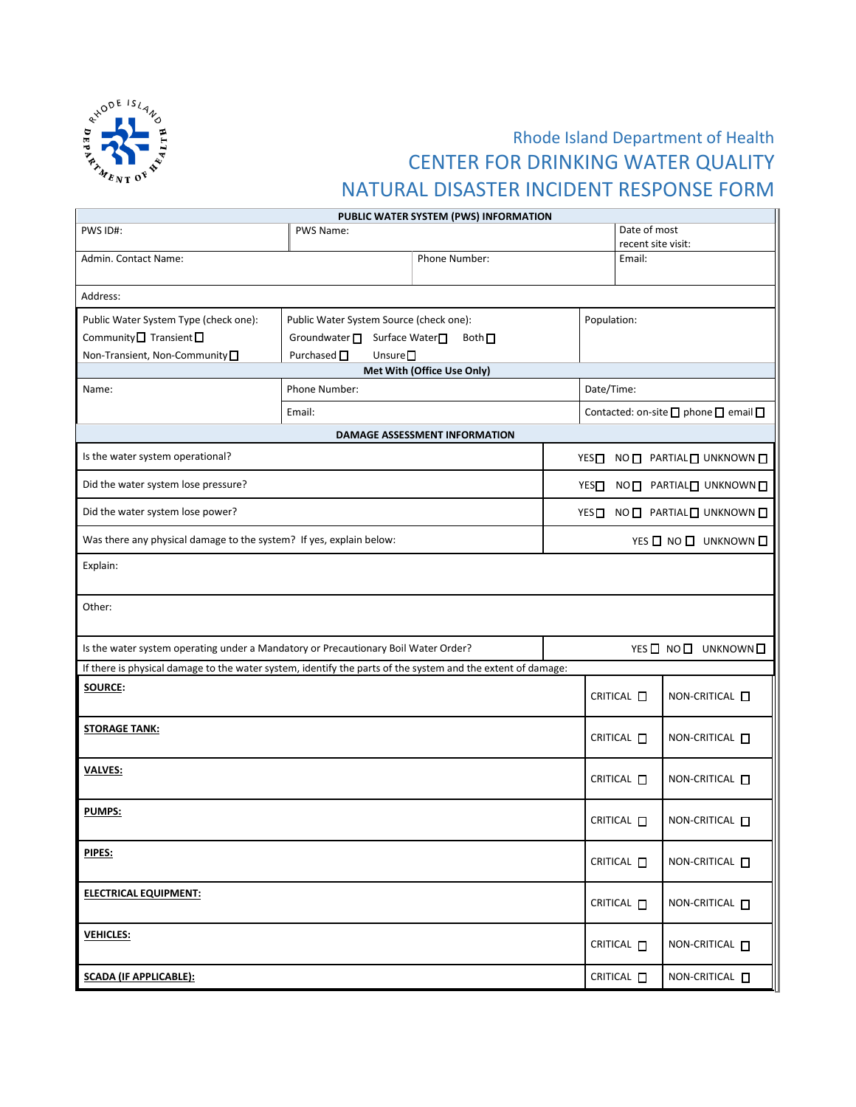

## Rhode Island Department of Health CENTER FOR DRINKING WATER QUALITY NATURAL DISASTER INCIDENT RESPONSE FORM

| PUBLIC WATER SYSTEM (PWS) INFORMATION                                                                       |                                                                                                                                                                                |                                      |  |                                    |                        |  |
|-------------------------------------------------------------------------------------------------------------|--------------------------------------------------------------------------------------------------------------------------------------------------------------------------------|--------------------------------------|--|------------------------------------|------------------------|--|
| PWS ID#:                                                                                                    | PWS Name:                                                                                                                                                                      |                                      |  | Date of most<br>recent site visit: |                        |  |
| Admin. Contact Name:                                                                                        | Phone Number:                                                                                                                                                                  |                                      |  | Email:                             |                        |  |
| Address:                                                                                                    |                                                                                                                                                                                |                                      |  |                                    |                        |  |
| Public Water System Type (check one):<br>Community $\Box$ Transient $\Box$<br>Non-Transient, Non-Community  | Population:<br>Public Water System Source (check one):<br>Groundwater □ Surface Water□<br>Both $\Box$<br>Purchased $\square$<br>Unsure $\square$<br>Met With (Office Use Only) |                                      |  |                                    |                        |  |
| Name:                                                                                                       | Phone Number:<br>Date/Time:                                                                                                                                                    |                                      |  |                                    |                        |  |
|                                                                                                             | Email:                                                                                                                                                                         | Contacted: on-site □ phone □ email □ |  |                                    |                        |  |
|                                                                                                             |                                                                                                                                                                                | DAMAGE ASSESSMENT INFORMATION        |  |                                    |                        |  |
| Is the water system operational?                                                                            |                                                                                                                                                                                |                                      |  |                                    | YES NO PARTIAL UNKNOWN |  |
| Did the water system lose pressure?                                                                         |                                                                                                                                                                                |                                      |  | YESO NO PARTIALO UNKNOWN           |                        |  |
| Did the water system lose power?                                                                            |                                                                                                                                                                                |                                      |  | YES NO PARTIAL UNKNOWN             |                        |  |
| Was there any physical damage to the system? If yes, explain below:                                         |                                                                                                                                                                                |                                      |  | YES O NO O UNKNOWN O               |                        |  |
| Explain:                                                                                                    |                                                                                                                                                                                |                                      |  |                                    |                        |  |
| Other:                                                                                                      |                                                                                                                                                                                |                                      |  |                                    |                        |  |
| Is the water system operating under a Mandatory or Precautionary Boil Water Order?                          |                                                                                                                                                                                |                                      |  | YES O NO O UNKNOWN O               |                        |  |
| If there is physical damage to the water system, identify the parts of the system and the extent of damage: |                                                                                                                                                                                |                                      |  |                                    |                        |  |
| SOURCE:                                                                                                     |                                                                                                                                                                                |                                      |  | CRITICAL O                         | NON-CRITICAL <b>D</b>  |  |
| <b>STORAGE TANK:</b>                                                                                        |                                                                                                                                                                                |                                      |  | CRITICAL <b>D</b>                  | NON-CRITICAL <b>D</b>  |  |
| <b>VALVES:</b>                                                                                              |                                                                                                                                                                                |                                      |  | CRITICAL O                         | NON-CRITICAL <b>O</b>  |  |
| <b>PUMPS:</b>                                                                                               |                                                                                                                                                                                |                                      |  | CRITICAL <b>D</b>                  | NON-CRITICAL <b>D</b>  |  |
| PIPES:                                                                                                      |                                                                                                                                                                                |                                      |  | CRITICAL <b>D</b>                  | NON-CRITICAL O         |  |
| <b>ELECTRICAL EQUIPMENT:</b>                                                                                |                                                                                                                                                                                |                                      |  | CRITICAL <b>D</b>                  | NON-CRITICAL $\Box$    |  |
| <b>VEHICLES:</b>                                                                                            |                                                                                                                                                                                |                                      |  | CRITICAL <b>D</b>                  | NON-CRITICAL <b>D</b>  |  |
| <b>SCADA (IF APPLICABLE):</b>                                                                               |                                                                                                                                                                                |                                      |  | CRITICAL <b>D</b>                  | NON-CRITICAL $\square$ |  |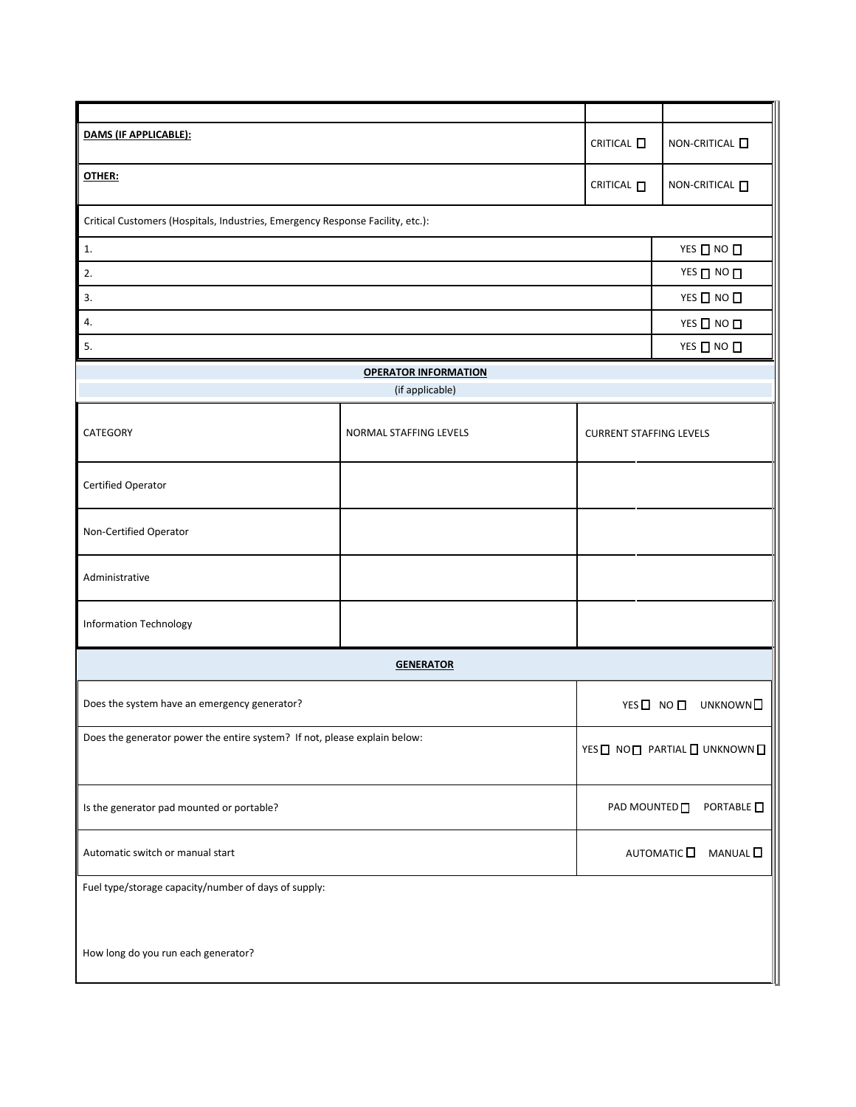| DAMS (IF APPLICABLE):                                                                       |                             |                                  | NON-CRITICAL $\square$                     |  |  |
|---------------------------------------------------------------------------------------------|-----------------------------|----------------------------------|--------------------------------------------|--|--|
| OTHER:                                                                                      |                             |                                  | NON-CRITICAL <b>D</b>                      |  |  |
| Critical Customers (Hospitals, Industries, Emergency Response Facility, etc.):              |                             |                                  |                                            |  |  |
| 1.                                                                                          |                             |                                  | YES $\Box$ NO $\Box$                       |  |  |
| 2.                                                                                          |                             |                                  | YES ON O                                   |  |  |
| 3.                                                                                          |                             |                                  | YES $\Box$ NO $\Box$                       |  |  |
| 4.                                                                                          |                             |                                  | $YES$ $\Box$ NO $\Box$                     |  |  |
| 5.                                                                                          |                             |                                  | YES $\Box$ NO $\Box$                       |  |  |
|                                                                                             | <b>OPERATOR INFORMATION</b> |                                  |                                            |  |  |
|                                                                                             | (if applicable)             |                                  |                                            |  |  |
| CATEGORY                                                                                    | NORMAL STAFFING LEVELS      | <b>CURRENT STAFFING LEVELS</b>   |                                            |  |  |
| Certified Operator                                                                          |                             |                                  |                                            |  |  |
| Non-Certified Operator                                                                      |                             |                                  |                                            |  |  |
| Administrative                                                                              |                             |                                  |                                            |  |  |
| <b>Information Technology</b>                                                               |                             |                                  |                                            |  |  |
| <b>GENERATOR</b>                                                                            |                             |                                  |                                            |  |  |
| Does the system have an emergency generator?                                                |                             | YES□ NO□<br>UNKNOWN <sup>I</sup> |                                            |  |  |
| Does the generator power the entire system? If not, please explain below:                   |                             |                                  | YES NON PARTIAL NUNKNOWN                   |  |  |
| Is the generator pad mounted or portable?                                                   |                             |                                  | PORTABLE $\square$<br>PAD MOUNTED <b>D</b> |  |  |
| Automatic switch or manual start                                                            |                             |                                  | AUTOMATIC<br>MANUAL <sup>D</sup>           |  |  |
| Fuel type/storage capacity/number of days of supply:<br>How long do you run each generator? |                             |                                  |                                            |  |  |
|                                                                                             |                             |                                  |                                            |  |  |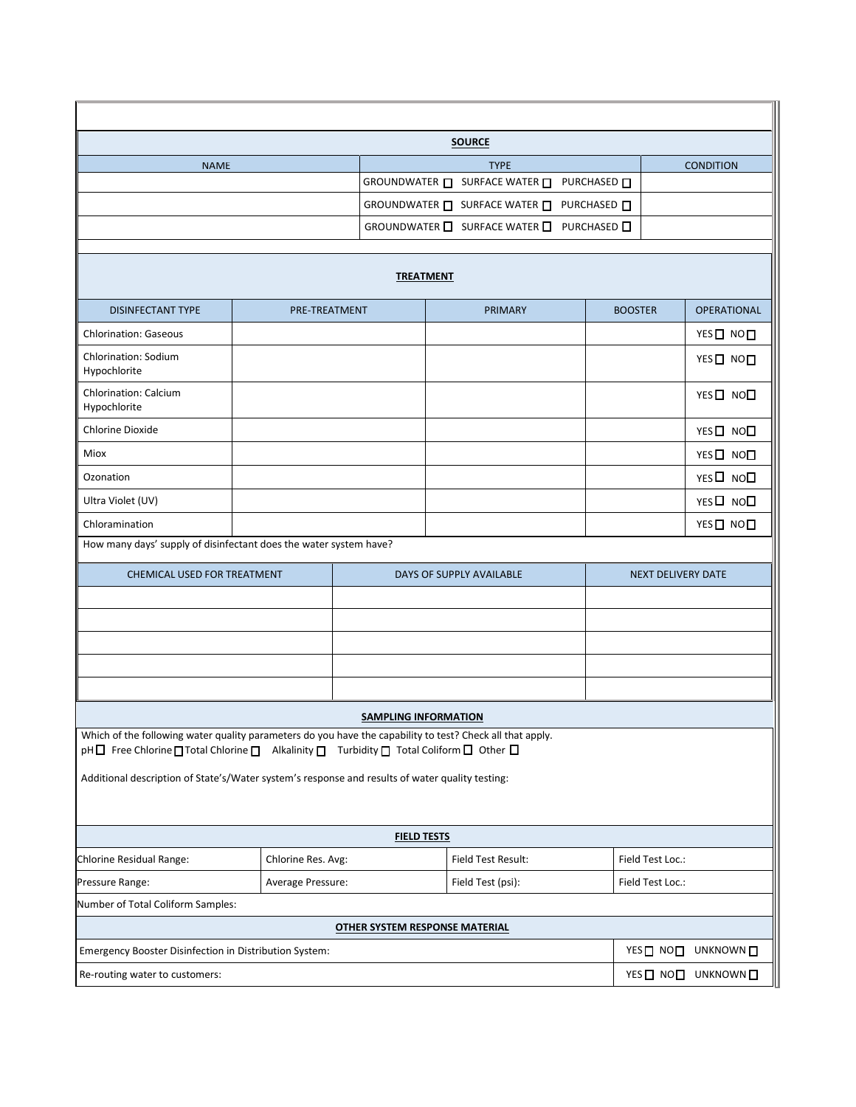| <b>SOURCE</b>                                                                                                                                                                                      |                    |                                                        |                               |                |                                        |  |
|----------------------------------------------------------------------------------------------------------------------------------------------------------------------------------------------------|--------------------|--------------------------------------------------------|-------------------------------|----------------|----------------------------------------|--|
| <b>NAME</b>                                                                                                                                                                                        |                    |                                                        | <b>TYPE</b>                   |                | <b>CONDITION</b>                       |  |
|                                                                                                                                                                                                    |                    |                                                        | GROUNDWATER □ SURFACE WATER □ | PURCHASED □    |                                        |  |
|                                                                                                                                                                                                    |                    | GROUNDWATER $\Box$ SURFACE WATER $\Box$<br>PURCHASED □ |                               |                |                                        |  |
|                                                                                                                                                                                                    |                    |                                                        | GROUNDWATER □ SURFACE WATER □ | PURCHASED □    |                                        |  |
| <b>TREATMENT</b>                                                                                                                                                                                   |                    |                                                        |                               |                |                                        |  |
| <b>DISINFECTANT TYPE</b>                                                                                                                                                                           | PRE-TREATMENT      |                                                        | <b>PRIMARY</b>                | <b>BOOSTER</b> | <b>OPERATIONAL</b>                     |  |
| <b>Chlorination: Gaseous</b>                                                                                                                                                                       |                    |                                                        |                               |                | YES□ NO□                               |  |
| Chlorination: Sodium<br>Hypochlorite                                                                                                                                                               |                    |                                                        |                               |                | YES□ NO□                               |  |
| Chlorination: Calcium<br>Hypochlorite                                                                                                                                                              |                    |                                                        |                               |                | YES <sup>[10]</sup> NO <sup>[1</sup>   |  |
| <b>Chlorine Dioxide</b>                                                                                                                                                                            |                    |                                                        |                               |                | YES□ NO□                               |  |
| Miox                                                                                                                                                                                               |                    |                                                        |                               |                | YES <sup>[10]</sup> NO <sup>[1</sup>   |  |
| Ozonation                                                                                                                                                                                          |                    |                                                        |                               |                | YES D NOD                              |  |
| Ultra Violet (UV)                                                                                                                                                                                  |                    |                                                        |                               |                | YES <sup>[10]</sup> NO <sup>[11]</sup> |  |
| Chloramination                                                                                                                                                                                     |                    |                                                        |                               |                | YES□ NO□                               |  |
| How many days' supply of disinfectant does the water system have?                                                                                                                                  |                    |                                                        |                               |                |                                        |  |
| <b>CHEMICAL USED FOR TREATMENT</b>                                                                                                                                                                 |                    |                                                        | DAYS OF SUPPLY AVAILABLE      |                | <b>NEXT DELIVERY DATE</b>              |  |
|                                                                                                                                                                                                    |                    |                                                        |                               |                |                                        |  |
|                                                                                                                                                                                                    |                    |                                                        |                               |                |                                        |  |
|                                                                                                                                                                                                    |                    |                                                        |                               |                |                                        |  |
|                                                                                                                                                                                                    |                    |                                                        |                               |                |                                        |  |
|                                                                                                                                                                                                    |                    |                                                        |                               |                |                                        |  |
| <b>SAMPLING INFORMATION</b>                                                                                                                                                                        |                    |                                                        |                               |                |                                        |  |
| Which of the following water quality parameters do you have the capability to test? Check all that apply.<br>pH□ Free Chlorine□ Total Chlorine □ Alkalinity □ Turbidity □ Total Coliform □ Other □ |                    |                                                        |                               |                |                                        |  |
| Additional description of State's/Water system's response and results of water quality testing:                                                                                                    |                    |                                                        |                               |                |                                        |  |
|                                                                                                                                                                                                    |                    |                                                        |                               |                |                                        |  |
| <b>FIELD TESTS</b>                                                                                                                                                                                 |                    |                                                        |                               |                |                                        |  |
| Chlorine Residual Range:                                                                                                                                                                           | Chlorine Res. Avg: |                                                        | Field Test Result:            |                | Field Test Loc.:                       |  |
| Average Pressure:<br>Pressure Range:                                                                                                                                                               |                    |                                                        | Field Test (psi):             |                | Field Test Loc.:                       |  |
| Number of Total Coliform Samples:                                                                                                                                                                  |                    |                                                        |                               |                |                                        |  |
| <b>OTHER SYSTEM RESPONSE MATERIAL</b>                                                                                                                                                              |                    |                                                        |                               |                |                                        |  |
| Emergency Booster Disinfection in Distribution System:                                                                                                                                             |                    |                                                        |                               |                | YES NO UNKNOWN                         |  |
| Re-routing water to customers:                                                                                                                                                                     |                    |                                                        |                               |                | YES O NOO UNKNOWN O                    |  |